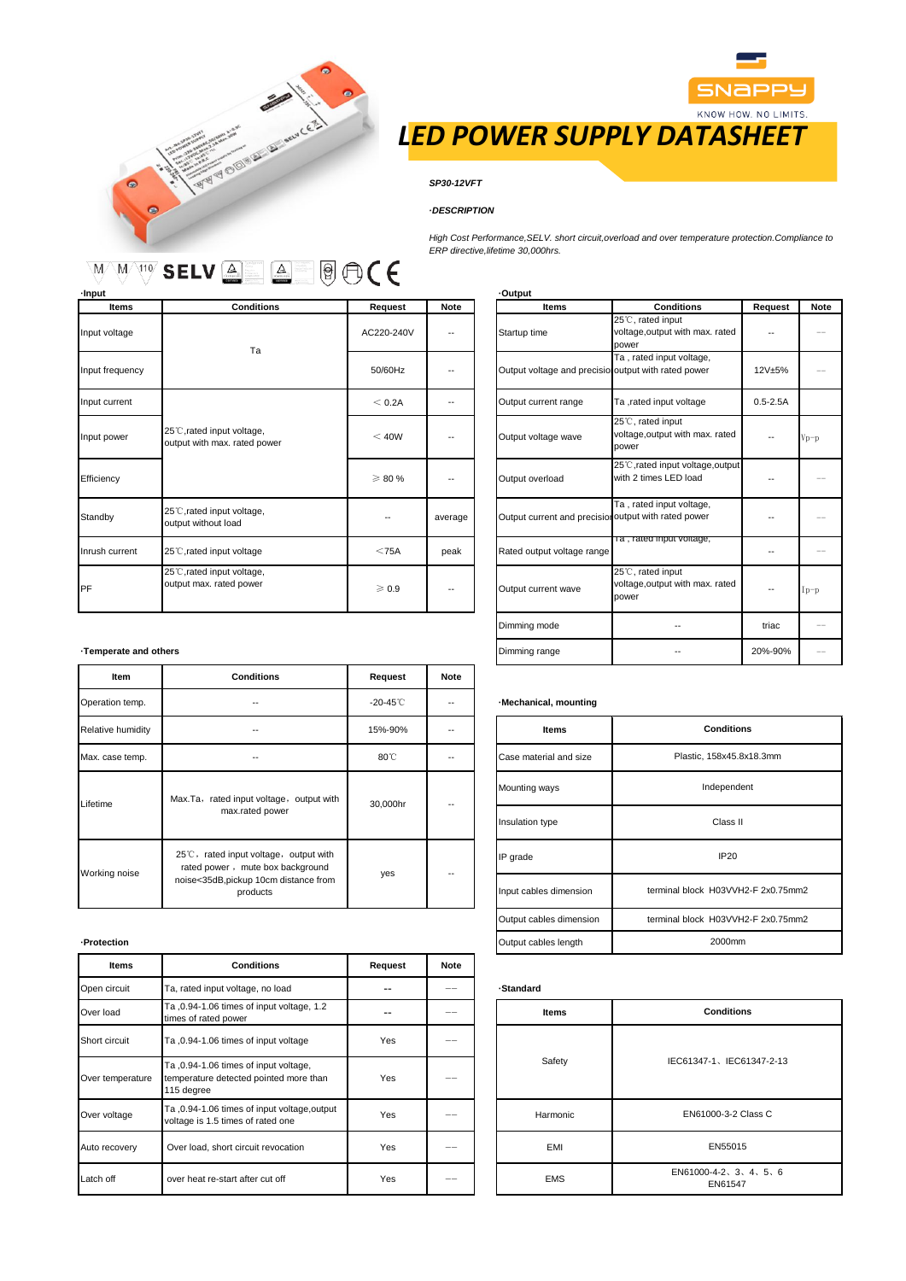



# *LED POWER SUPPLY DATASHEET*

*High Cost Performance,SELV. short circuit,overload and over temperature protection.Compliance to*

# *SP30-12VFT*

# *·DESCRIPTION*

*ERP directive,lifetime 30,000hrs.*

 $\text{O}(\epsilon)$  $\Delta$  $\overline{\mathbb{W} \backslash \mathbb{W} \backslash \mathbb{H}^0}$  selv  $\boxed{\mathbb{A}}$ 

**·Input ·Output Items Conditions Request Note Items Conditions Request Note** Input voltage AC220-240V --Input frequency **Interval and properties and precision of the SO/60Hz** --Input current the current term of the contract of the contract of the CD-2A of the CD-2A of the CD-2A of the CD-2A of the CD-5-2.5A Input power<br>
output with max. rated power<br>  $\begin{array}{ccc}\n\text{Input} & \rightarrow & \text{Output} \\
\text{Output} & \text{Output} & \text{Output} \\
\end{array}$ Efficiency ≥ 80 % -- Output overload Standby <sup>25</sup>℃,rated input voltage, 25 C, rated input voltage,<br>output without load by a verage output without load Inrush current 25℃,rated input voltage range range range also reak PF 25℃,rated input voltage, output max. rated power  $\geqslant 0.9$  -Ta 25℃,rated input voltage,

| <b>Items</b>                                         | <b>Conditions</b>                                             | Request      | <b>Note</b>   |
|------------------------------------------------------|---------------------------------------------------------------|--------------|---------------|
| Startup time                                         | 25°C, rated input<br>voltage, output with max. rated<br>power |              |               |
| Output voltage and precisio output with rated power  | Ta, rated input voltage,                                      | $12V + 5%$   |               |
| Output current range                                 | Ta ,rated input voltage                                       | $0.5 - 2.5A$ |               |
| Output voltage wave                                  | 25°C, rated input<br>voltage, output with max. rated<br>power |              | $V_{\rm D-D}$ |
| Output overload                                      | 25°C, rated input voltage, output<br>with 2 times LED load    |              |               |
| Output current and precision output with rated power | Ta, rated input voltage,                                      |              |               |
| Rated output voltage range                           | Ia, rated input voltage,                                      |              |               |
| Output current wave                                  | 25°C, rated input<br>voltage, output with max. rated<br>power |              | $I_{p-p}$     |
| Dimming mode                                         |                                                               | triac        |               |
| Dimming range                                        |                                                               | 20%-90%      |               |

# $\cdot$ Temperate and others

| Item              | <b>Conditions</b>                                                                                                              | Request            | <b>Note</b> |                        |  |
|-------------------|--------------------------------------------------------------------------------------------------------------------------------|--------------------|-------------|------------------------|--|
| Operation temp.   |                                                                                                                                | $-20-45^{\circ}$ C |             | -Mechanical, mountin   |  |
| Relative humidity |                                                                                                                                | 15%-90%            |             | <b>Items</b>           |  |
| Max. case temp.   |                                                                                                                                | 80°C               |             | Case material and size |  |
| Lifetime          | Max.Ta, rated input voltage, output with<br>max.rated power                                                                    | 30,000hr           | --          | Mounting ways          |  |
|                   |                                                                                                                                |                    |             | Insulation type        |  |
| Working noise     | 25°C, rated input voltage, output with<br>rated power, mute box background<br>noise<35dB,pickup 10cm distance from<br>products | yes                | --          | IP grade               |  |
|                   |                                                                                                                                |                    |             | Input cables dimension |  |

| Items            | <b>Conditions</b>                                                                             | Request    | Note |              |  |
|------------------|-----------------------------------------------------------------------------------------------|------------|------|--------------|--|
| Open circuit     | Ta, rated input voltage, no load                                                              |            |      | -Standard    |  |
| Over load        | Ta ,0.94-1.06 times of input voltage, 1.2<br>times of rated power                             |            |      | <b>Items</b> |  |
| Short circuit    | Ta, 0.94-1.06 times of input voltage                                                          | <b>Yes</b> |      |              |  |
| Over temperature | Ta ,0.94-1.06 times of input voltage,<br>temperature detected pointed more than<br>115 degree | Yes        |      | Safety       |  |
| Over voltage     | Ta ,0.94-1.06 times of input voltage,output<br>voltage is 1.5 times of rated one              | Yes        |      | Harmonic     |  |
| Auto recovery    | Over load, short circuit revocation                                                           | <b>Yes</b> |      | EMI          |  |
| Latch off        | over heat re-start after cut off                                                              | Yes        |      | <b>EMS</b>   |  |

### $\cdot$  Mechanical, mounting

| Relative humidity | --                                                                                                                             | 15%-90%        | -- |                      | <b>Items</b>            | <b>Conditions</b>                  |
|-------------------|--------------------------------------------------------------------------------------------------------------------------------|----------------|----|----------------------|-------------------------|------------------------------------|
| Max. case temp.   | --                                                                                                                             | $80^{\circ}$ C | -- |                      | Case material and size  | Plastic, 158x45.8x18.3mm           |
| Lifetime          | Max.Ta, rated input voltage, output with<br>max.rated power                                                                    | 30,000hr       | -- | Mounting ways        | Independent             |                                    |
|                   |                                                                                                                                |                |    | Insulation type      | Class II                |                                    |
| Working noise     | 25°C, rated input voltage, output with<br>rated power, mute box background<br>noise<35dB,pickup 10cm distance from<br>products | yes            | -- | IP grade             | <b>IP20</b>             |                                    |
|                   |                                                                                                                                |                |    |                      | Input cables dimension  | terminal block H03VVH2-F 2x0.75mm2 |
|                   |                                                                                                                                |                |    |                      | Output cables dimension | terminal block H03VVH2-F 2x0.75mm2 |
| -Protection       |                                                                                                                                |                |    | Output cables length | 2000mm                  |                                    |

| <b>Items</b> | <b>Conditions</b>                    |  |
|--------------|--------------------------------------|--|
| Safety       | IEC61347-1、IEC61347-2-13             |  |
| Harmonic     | EN61000-3-2 Class C                  |  |
| EMI          | EN55015                              |  |
| <b>EMS</b>   | $EN61000-4-2, 3, 4, 5, 6$<br>EN61547 |  |